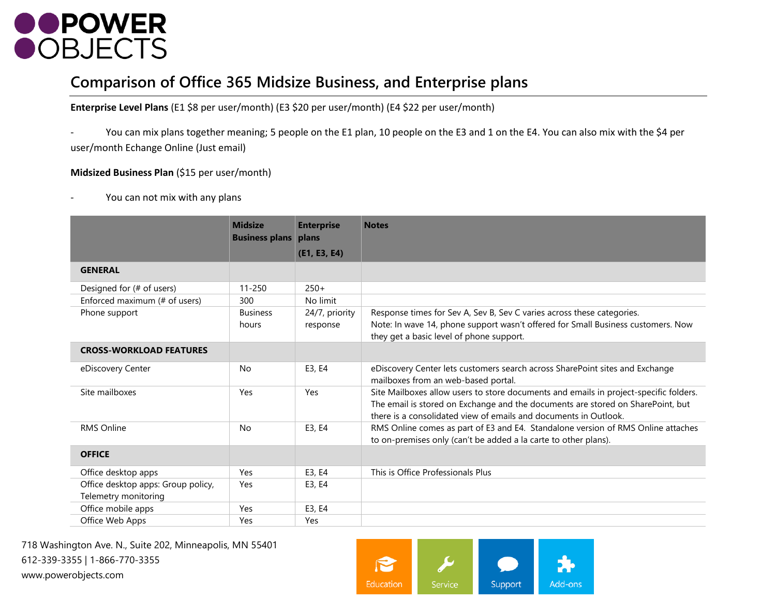

#### **Comparison of Office 365 Midsize Business, and Enterprise plans**

**Enterprise Level Plans** (E1 \$8 per user/month) (E3 \$20 per user/month) (E4 \$22 per user/month)

You can mix plans together meaning; 5 people on the E1 plan, 10 people on the E3 and 1 on the E4. You can also mix with the \$4 per user/month Echange Online (Just email)

#### **Midsized Business Plan** (\$15 per user/month)

You can not mix with any plans

|                                                            | <b>Midsize</b><br><b>Business plans</b> | <b>Enterprise</b><br>plans | <b>Notes</b>                                                                                                                                                                                                                                 |
|------------------------------------------------------------|-----------------------------------------|----------------------------|----------------------------------------------------------------------------------------------------------------------------------------------------------------------------------------------------------------------------------------------|
|                                                            |                                         | (E1, E3, E4)               |                                                                                                                                                                                                                                              |
| <b>GENERAL</b>                                             |                                         |                            |                                                                                                                                                                                                                                              |
| Designed for (# of users)                                  | $11 - 250$                              | $250+$                     |                                                                                                                                                                                                                                              |
| Enforced maximum (# of users)                              | 300                                     | No limit                   |                                                                                                                                                                                                                                              |
| Phone support                                              | <b>Business</b><br>hours                | 24/7, priority<br>response | Response times for Sev A, Sev B, Sev C varies across these categories.<br>Note: In wave 14, phone support wasn't offered for Small Business customers. Now<br>they get a basic level of phone support.                                       |
| <b>CROSS-WORKLOAD FEATURES</b>                             |                                         |                            |                                                                                                                                                                                                                                              |
| eDiscovery Center                                          | <b>No</b>                               | E3, E4                     | eDiscovery Center lets customers search across SharePoint sites and Exchange<br>mailboxes from an web-based portal.                                                                                                                          |
| Site mailboxes                                             | Yes                                     | Yes                        | Site Mailboxes allow users to store documents and emails in project-specific folders.<br>The email is stored on Exchange and the documents are stored on SharePoint, but<br>there is a consolidated view of emails and documents in Outlook. |
| <b>RMS Online</b>                                          | <b>No</b>                               | E3, E4                     | RMS Online comes as part of E3 and E4. Standalone version of RMS Online attaches<br>to on-premises only (can't be added a la carte to other plans).                                                                                          |
| <b>OFFICE</b>                                              |                                         |                            |                                                                                                                                                                                                                                              |
| Office desktop apps                                        | Yes                                     | E3, E4                     | This is Office Professionals Plus                                                                                                                                                                                                            |
| Office desktop apps: Group policy,<br>Telemetry monitoring | Yes                                     | E3, E4                     |                                                                                                                                                                                                                                              |
| Office mobile apps                                         | Yes                                     | E3, E4                     |                                                                                                                                                                                                                                              |
| Office Web Apps                                            | Yes                                     | Yes                        |                                                                                                                                                                                                                                              |

718 Washington Ave. N., Suite 202, Minneapolis, MN 55401 612-339-3355 | 1-866-770-3355 www.powerobjects.com

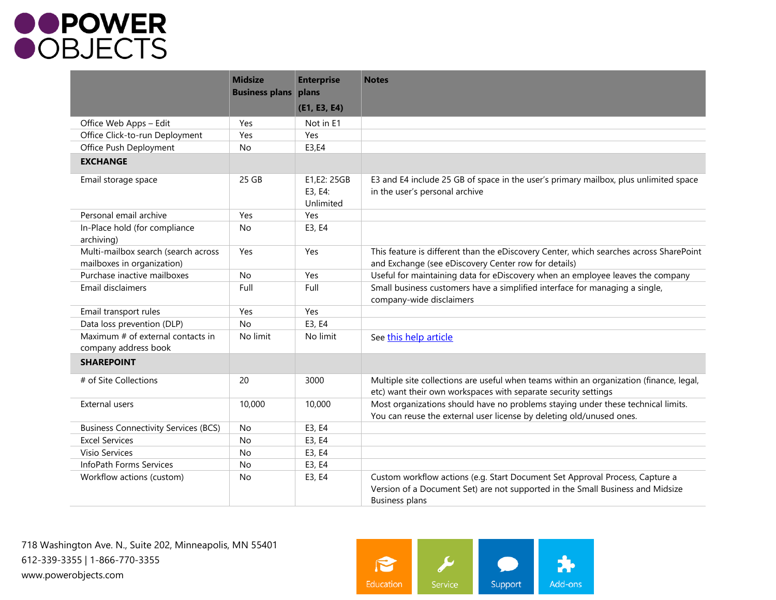## **OPOWER**<br>**OBJECTS**

|                                                                   | <b>Midsize</b><br><b>Business plans</b> | <b>Enterprise</b><br>plans          | <b>Notes</b>                                                                                                                                                                            |
|-------------------------------------------------------------------|-----------------------------------------|-------------------------------------|-----------------------------------------------------------------------------------------------------------------------------------------------------------------------------------------|
|                                                                   |                                         | (E1, E3, E4)                        |                                                                                                                                                                                         |
| Office Web Apps - Edit                                            | Yes                                     | Not in E1                           |                                                                                                                                                                                         |
| Office Click-to-run Deployment                                    | Yes                                     | Yes                                 |                                                                                                                                                                                         |
| Office Push Deployment                                            | No                                      | E3,E4                               |                                                                                                                                                                                         |
| <b>EXCHANGE</b>                                                   |                                         |                                     |                                                                                                                                                                                         |
| Email storage space                                               | 25 GB                                   | E1,E2: 25GB<br>E3, E4:<br>Unlimited | E3 and E4 include 25 GB of space in the user's primary mailbox, plus unlimited space<br>in the user's personal archive                                                                  |
| Personal email archive                                            | Yes                                     | Yes                                 |                                                                                                                                                                                         |
| In-Place hold (for compliance<br>archiving)                       | <b>No</b>                               | E3, E4                              |                                                                                                                                                                                         |
| Multi-mailbox search (search across<br>mailboxes in organization) | Yes                                     | Yes                                 | This feature is different than the eDiscovery Center, which searches across SharePoint<br>and Exchange (see eDiscovery Center row for details)                                          |
| Purchase inactive mailboxes                                       | No                                      | Yes                                 | Useful for maintaining data for eDiscovery when an employee leaves the company                                                                                                          |
| Email disclaimers                                                 | Full                                    | Full                                | Small business customers have a simplified interface for managing a single,<br>company-wide disclaimers                                                                                 |
| Email transport rules                                             | Yes                                     | Yes                                 |                                                                                                                                                                                         |
| Data loss prevention (DLP)                                        | <b>No</b>                               | E3, E4                              |                                                                                                                                                                                         |
| Maximum # of external contacts in<br>company address book         | No limit                                | No limit                            | See this help article                                                                                                                                                                   |
| <b>SHAREPOINT</b>                                                 |                                         |                                     |                                                                                                                                                                                         |
| # of Site Collections                                             | 20                                      | 3000                                | Multiple site collections are useful when teams within an organization (finance, legal,<br>etc) want their own workspaces with separate security settings                               |
| External users                                                    | 10,000                                  | 10,000                              | Most organizations should have no problems staying under these technical limits.<br>You can reuse the external user license by deleting old/unused ones.                                |
| <b>Business Connectivity Services (BCS)</b>                       | No                                      | E3, E4                              |                                                                                                                                                                                         |
| <b>Excel Services</b>                                             | No                                      | E3, E4                              |                                                                                                                                                                                         |
| Visio Services                                                    | No                                      | E3, E4                              |                                                                                                                                                                                         |
| InfoPath Forms Services                                           | No                                      | E3, E4                              |                                                                                                                                                                                         |
| Workflow actions (custom)                                         | No                                      | E3, E4                              | Custom workflow actions (e.g. Start Document Set Approval Process, Capture a<br>Version of a Document Set) are not supported in the Small Business and Midsize<br><b>Business plans</b> |

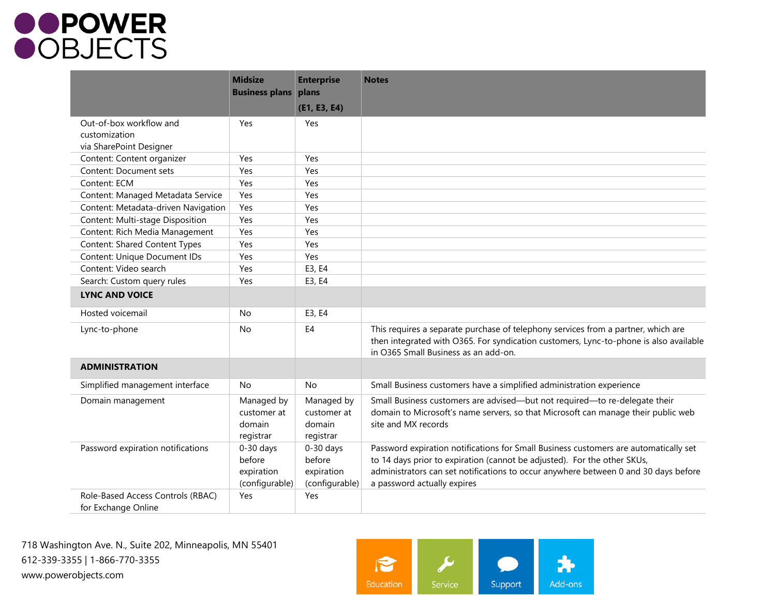# **OPOWER**<br>**OBJECTS**

|                                                                     | <b>Midsize</b><br><b>Business plans</b>               | <b>Enterprise</b><br>plans<br>(E1, E3, E4)            | <b>Notes</b>                                                                                                                                                                                                                                                                           |
|---------------------------------------------------------------------|-------------------------------------------------------|-------------------------------------------------------|----------------------------------------------------------------------------------------------------------------------------------------------------------------------------------------------------------------------------------------------------------------------------------------|
| Out-of-box workflow and<br>customization<br>via SharePoint Designer | Yes                                                   | Yes                                                   |                                                                                                                                                                                                                                                                                        |
| Content: Content organizer                                          | Yes                                                   | Yes                                                   |                                                                                                                                                                                                                                                                                        |
| <b>Content: Document sets</b>                                       | Yes                                                   | Yes                                                   |                                                                                                                                                                                                                                                                                        |
| Content: ECM                                                        | Yes                                                   | Yes                                                   |                                                                                                                                                                                                                                                                                        |
| Content: Managed Metadata Service                                   | Yes                                                   | Yes                                                   |                                                                                                                                                                                                                                                                                        |
| Content: Metadata-driven Navigation                                 | Yes                                                   | Yes                                                   |                                                                                                                                                                                                                                                                                        |
| Content: Multi-stage Disposition                                    | Yes                                                   | Yes                                                   |                                                                                                                                                                                                                                                                                        |
| Content: Rich Media Management                                      | Yes                                                   | Yes                                                   |                                                                                                                                                                                                                                                                                        |
| Content: Shared Content Types                                       | Yes                                                   | Yes                                                   |                                                                                                                                                                                                                                                                                        |
| Content: Unique Document IDs                                        | Yes                                                   | Yes                                                   |                                                                                                                                                                                                                                                                                        |
| Content: Video search                                               | Yes                                                   | E3, E4                                                |                                                                                                                                                                                                                                                                                        |
| Search: Custom query rules                                          | Yes                                                   | E3, E4                                                |                                                                                                                                                                                                                                                                                        |
| <b>LYNC AND VOICE</b>                                               |                                                       |                                                       |                                                                                                                                                                                                                                                                                        |
| Hosted voicemail                                                    | <b>No</b>                                             | E3, E4                                                |                                                                                                                                                                                                                                                                                        |
| Lync-to-phone                                                       | No                                                    | E4                                                    | This requires a separate purchase of telephony services from a partner, which are<br>then integrated with O365. For syndication customers, Lync-to-phone is also available<br>in O365 Small Business as an add-on.                                                                     |
| <b>ADMINISTRATION</b>                                               |                                                       |                                                       |                                                                                                                                                                                                                                                                                        |
| Simplified management interface                                     | No                                                    | <b>No</b>                                             | Small Business customers have a simplified administration experience                                                                                                                                                                                                                   |
| Domain management                                                   | Managed by<br>customer at<br>domain<br>registrar      | Managed by<br>customer at<br>domain<br>registrar      | Small Business customers are advised-but not required-to re-delegate their<br>domain to Microsoft's name servers, so that Microsoft can manage their public web<br>site and MX records                                                                                                 |
| Password expiration notifications                                   | $0-30$ days<br>before<br>expiration<br>(configurable) | $0-30$ days<br>before<br>expiration<br>(configurable) | Password expiration notifications for Small Business customers are automatically set<br>to 14 days prior to expiration (cannot be adjusted). For the other SKUs,<br>administrators can set notifications to occur anywhere between 0 and 30 days before<br>a password actually expires |
| Role-Based Access Controls (RBAC)<br>for Exchange Online            | Yes                                                   | Yes                                                   |                                                                                                                                                                                                                                                                                        |

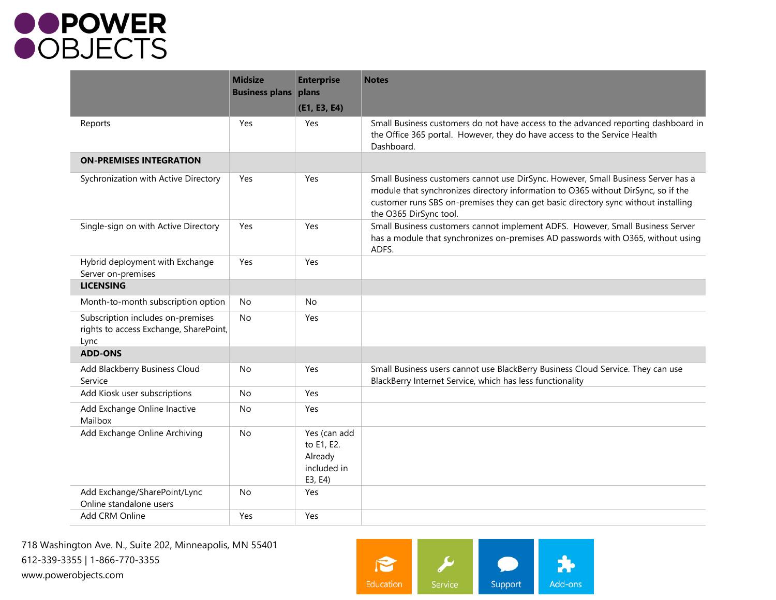## **OPOWER**<br>**OBJECTS**

|                                                                                     | <b>Midsize</b><br><b>Business plans</b> | <b>Enterprise</b><br>plans                                      | <b>Notes</b>                                                                                                                                                                                                                                                                           |
|-------------------------------------------------------------------------------------|-----------------------------------------|-----------------------------------------------------------------|----------------------------------------------------------------------------------------------------------------------------------------------------------------------------------------------------------------------------------------------------------------------------------------|
|                                                                                     |                                         | (E1, E3, E4)                                                    |                                                                                                                                                                                                                                                                                        |
| Reports                                                                             | Yes                                     | Yes                                                             | Small Business customers do not have access to the advanced reporting dashboard in<br>the Office 365 portal. However, they do have access to the Service Health<br>Dashboard.                                                                                                          |
| <b>ON-PREMISES INTEGRATION</b>                                                      |                                         |                                                                 |                                                                                                                                                                                                                                                                                        |
| Sychronization with Active Directory                                                | Yes                                     | Yes                                                             | Small Business customers cannot use DirSync. However, Small Business Server has a<br>module that synchronizes directory information to O365 without DirSync, so if the<br>customer runs SBS on-premises they can get basic directory sync without installing<br>the O365 DirSync tool. |
| Single-sign on with Active Directory                                                | Yes                                     | Yes                                                             | Small Business customers cannot implement ADFS. However, Small Business Server<br>has a module that synchronizes on-premises AD passwords with O365, without using<br>ADFS.                                                                                                            |
| Hybrid deployment with Exchange<br>Server on-premises                               | Yes                                     | Yes                                                             |                                                                                                                                                                                                                                                                                        |
| <b>LICENSING</b>                                                                    |                                         |                                                                 |                                                                                                                                                                                                                                                                                        |
| Month-to-month subscription option                                                  | No                                      | No                                                              |                                                                                                                                                                                                                                                                                        |
| Subscription includes on-premises<br>rights to access Exchange, SharePoint,<br>Lync | <b>No</b>                               | Yes                                                             |                                                                                                                                                                                                                                                                                        |
| <b>ADD-ONS</b>                                                                      |                                         |                                                                 |                                                                                                                                                                                                                                                                                        |
| Add Blackberry Business Cloud<br>Service                                            | No                                      | Yes                                                             | Small Business users cannot use BlackBerry Business Cloud Service. They can use<br>BlackBerry Internet Service, which has less functionality                                                                                                                                           |
| Add Kiosk user subscriptions                                                        | <b>No</b>                               | Yes                                                             |                                                                                                                                                                                                                                                                                        |
| Add Exchange Online Inactive<br>Mailbox                                             | No                                      | Yes                                                             |                                                                                                                                                                                                                                                                                        |
| Add Exchange Online Archiving                                                       | No                                      | Yes (can add<br>to E1, E2.<br>Already<br>included in<br>E3, E4) |                                                                                                                                                                                                                                                                                        |
| Add Exchange/SharePoint/Lync<br>Online standalone users                             | <b>No</b>                               | Yes                                                             |                                                                                                                                                                                                                                                                                        |
| Add CRM Online                                                                      | Yes                                     | Yes                                                             |                                                                                                                                                                                                                                                                                        |

718 Washington Ave. N., Suite 202, Minneapolis, MN 55401 612-339-3355 | 1-866-770-3355 www.powerobjects.com